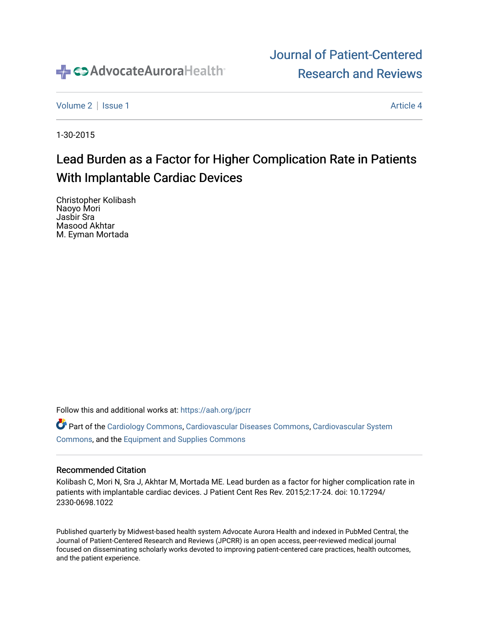

# [Journal of Patient-Centered](https://institutionalrepository.aah.org/jpcrr)  [Research and Reviews](https://institutionalrepository.aah.org/jpcrr)

[Volume 2](https://institutionalrepository.aah.org/jpcrr/vol2) | [Issue 1](https://institutionalrepository.aah.org/jpcrr/vol2/iss1) Article 4

1-30-2015

# Lead Burden as a Factor for Higher Complication Rate in Patients With Implantable Cardiac Devices

Christopher Kolibash Naoyo Mori Jasbir Sra Masood Akhtar M. Eyman Mortada

Follow this and additional works at: [https://aah.org/jpcrr](https://institutionalrepository.aah.org/jpcrr?utm_source=institutionalrepository.aah.org%2Fjpcrr%2Fvol2%2Fiss1%2F4&utm_medium=PDF&utm_campaign=PDFCoverPages) 

Part of the [Cardiology Commons](http://network.bepress.com/hgg/discipline/683?utm_source=institutionalrepository.aah.org%2Fjpcrr%2Fvol2%2Fiss1%2F4&utm_medium=PDF&utm_campaign=PDFCoverPages), [Cardiovascular Diseases Commons,](http://network.bepress.com/hgg/discipline/929?utm_source=institutionalrepository.aah.org%2Fjpcrr%2Fvol2%2Fiss1%2F4&utm_medium=PDF&utm_campaign=PDFCoverPages) [Cardiovascular System](http://network.bepress.com/hgg/discipline/977?utm_source=institutionalrepository.aah.org%2Fjpcrr%2Fvol2%2Fiss1%2F4&utm_medium=PDF&utm_campaign=PDFCoverPages)  [Commons](http://network.bepress.com/hgg/discipline/977?utm_source=institutionalrepository.aah.org%2Fjpcrr%2Fvol2%2Fiss1%2F4&utm_medium=PDF&utm_campaign=PDFCoverPages), and the [Equipment and Supplies Commons](http://network.bepress.com/hgg/discipline/944?utm_source=institutionalrepository.aah.org%2Fjpcrr%2Fvol2%2Fiss1%2F4&utm_medium=PDF&utm_campaign=PDFCoverPages) 

### Recommended Citation

Kolibash C, Mori N, Sra J, Akhtar M, Mortada ME. Lead burden as a factor for higher complication rate in patients with implantable cardiac devices. J Patient Cent Res Rev. 2015;2:17-24. doi: 10.17294/ 2330-0698.1022

Published quarterly by Midwest-based health system Advocate Aurora Health and indexed in PubMed Central, the Journal of Patient-Centered Research and Reviews (JPCRR) is an open access, peer-reviewed medical journal focused on disseminating scholarly works devoted to improving patient-centered care practices, health outcomes, and the patient experience.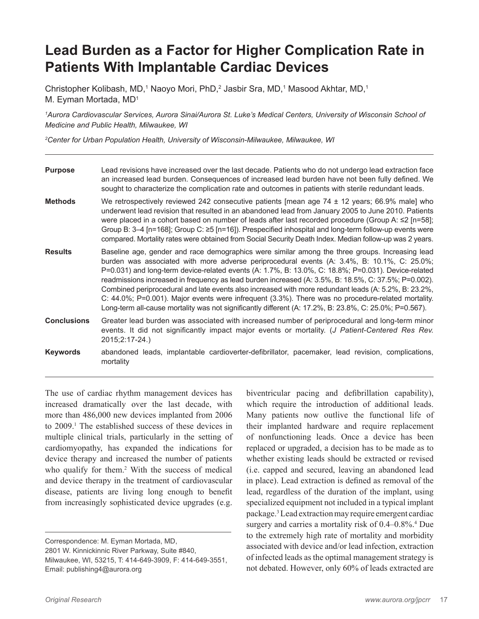# **Lead Burden as a Factor for Higher Complication Rate in Patients With Implantable Cardiac Devices**

Christopher Kolibash, MD,<sup>1</sup> Naoyo Mori, PhD,<sup>2</sup> Jasbir Sra, MD,<sup>1</sup> Masood Akhtar, MD,<sup>1</sup> M. Eyman Mortada, MD<sup>1</sup>

*1 Aurora Cardiovascular Services, Aurora Sinai/Aurora St. Luke's Medical Centers, University of Wisconsin School of Medicine and Public Health, Milwaukee, WI*

*2 Center for Urban Population Health, University of Wisconsin-Milwaukee, Milwaukee, WI*

| <b>Purpose</b>     | Lead revisions have increased over the last decade. Patients who do not undergo lead extraction face<br>an increased lead burden. Consequences of increased lead burden have not been fully defined. We<br>sought to characterize the complication rate and outcomes in patients with sterile redundant leads.                                                                                                                                                                                                                                                                                                                                                                                                                        |
|--------------------|---------------------------------------------------------------------------------------------------------------------------------------------------------------------------------------------------------------------------------------------------------------------------------------------------------------------------------------------------------------------------------------------------------------------------------------------------------------------------------------------------------------------------------------------------------------------------------------------------------------------------------------------------------------------------------------------------------------------------------------|
| <b>Methods</b>     | We retrospectively reviewed 242 consecutive patients [mean age $74 \pm 12$ years; 66.9% male] who<br>underwent lead revision that resulted in an abandoned lead from January 2005 to June 2010. Patients<br>were placed in a cohort based on number of leads after last recorded procedure (Group A: $\leq$ [n=58];<br>Group B: 3–4 [n=168]; Group C: ≥5 [n=16]). Prespecified inhospital and long-term follow-up events were<br>compared. Mortality rates were obtained from Social Security Death Index. Median follow-up was 2 years.                                                                                                                                                                                              |
| <b>Results</b>     | Baseline age, gender and race demographics were similar among the three groups. Increasing lead<br>burden was associated with more adverse periprocedural events (A: 3.4%, B: 10.1%, C: 25.0%;<br>P=0.031) and long-term device-related events (A: 1.7%, B: 13.0%, C: 18.8%; P=0.031). Device-related<br>readmissions increased in frequency as lead burden increased (A: 3.5%, B: 18.5%, C: 37.5%; P=0.002).<br>Combined periprocedural and late events also increased with more redundant leads (A: 5.2%, B: 23.2%,<br>C: 44.0%; P=0.001). Major events were infrequent (3.3%). There was no procedure-related mortality.<br>Long-term all-cause mortality was not significantly different (A: 17.2%, B: 23.8%, C: 25.0%; P=0.567). |
| <b>Conclusions</b> | Greater lead burden was associated with increased number of periprocedural and long-term minor<br>events. It did not significantly impact major events or mortality. (J Patient-Centered Res Rev.<br>2015;2:17-24.)                                                                                                                                                                                                                                                                                                                                                                                                                                                                                                                   |
| <b>Keywords</b>    | abandoned leads, implantable cardioverter-defibrillator, pacemaker, lead revision, complications,<br>mortality                                                                                                                                                                                                                                                                                                                                                                                                                                                                                                                                                                                                                        |

The use of cardiac rhythm management devices has increased dramatically over the last decade, with more than 486,000 new devices implanted from 2006 to 2009.1 The established success of these devices in multiple clinical trials, particularly in the setting of cardiomyopathy, has expanded the indications for device therapy and increased the number of patients who qualify for them.<sup>2</sup> With the success of medical and device therapy in the treatment of cardiovascular disease, patients are living long enough to benefit from increasingly sophisticated device upgrades (e.g.

biventricular pacing and defibrillation capability), which require the introduction of additional leads. Many patients now outlive the functional life of their implanted hardware and require replacement of nonfunctioning leads. Once a device has been replaced or upgraded, a decision has to be made as to whether existing leads should be extracted or revised (i.e. capped and secured, leaving an abandoned lead in place). Lead extraction is defined as removal of the lead, regardless of the duration of the implant, using specialized equipment not included in a typical implant package.3 Lead extraction may require emergent cardiac surgery and carries a mortality risk of 0.4–0.8%.<sup>4</sup> Due to the extremely high rate of mortality and morbidity associated with device and/or lead infection, extraction of infected leads as the optimal management strategy is not debated. However, only 60% of leads extracted are

Correspondence: M. Eyman Mortada, MD, 2801 W. Kinnickinnic River Parkway, Suite #840, Milwaukee, WI, 53215, T: 414-649-3909, F: 414-649-3551, Email: publishing4@aurora.org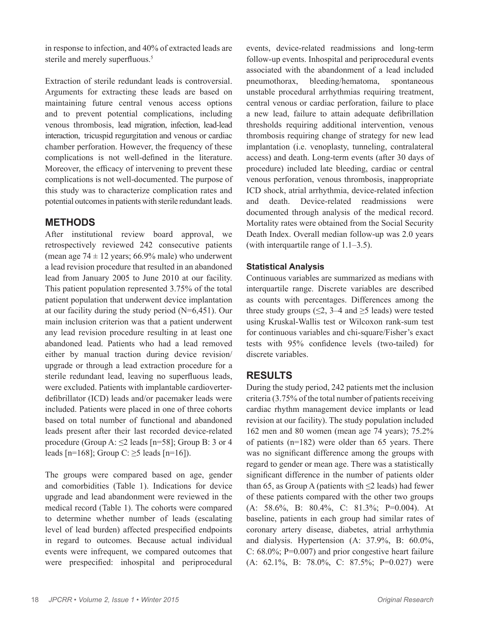in response to infection, and 40% of extracted leads are sterile and merely superfluous.<sup>5</sup>

Extraction of sterile redundant leads is controversial. Arguments for extracting these leads are based on maintaining future central venous access options and to prevent potential complications, including venous thrombosis, lead migration, infection, lead-lead interaction, tricuspid regurgitation and venous or cardiac chamber perforation. However, the frequency of these complications is not well-defined in the literature. Moreover, the efficacy of intervening to prevent these complications is not well-documented. The purpose of this study was to characterize complication rates and potential outcomes in patients with sterile redundant leads.

# **METHODS**

After institutional review board approval, we retrospectively reviewed 242 consecutive patients (mean age  $74 \pm 12$  years; 66.9% male) who underwent a lead revision procedure that resulted in an abandoned lead from January 2005 to June 2010 at our facility. This patient population represented 3.75% of the total patient population that underwent device implantation at our facility during the study period (N=6,451). Our main inclusion criterion was that a patient underwent any lead revision procedure resulting in at least one abandoned lead. Patients who had a lead removed either by manual traction during device revision/ upgrade or through a lead extraction procedure for a sterile redundant lead, leaving no superfluous leads, were excluded. Patients with implantable cardioverterdefibrillator (ICD) leads and/or pacemaker leads were included. Patients were placed in one of three cohorts based on total number of functional and abandoned leads present after their last recorded device-related procedure (Group A:  $\leq$ 2 leads [n=58]; Group B: 3 or 4 leads  $[n=168]$ ; Group C:  $\geq$ 5 leads  $[n=16]$ ).

The groups were compared based on age, gender and comorbidities (Table 1). Indications for device upgrade and lead abandonment were reviewed in the medical record (Table 1). The cohorts were compared to determine whether number of leads (escalating level of lead burden) affected prespecified endpoints in regard to outcomes. Because actual individual events were infrequent, we compared outcomes that were prespecified: inhospital and periprocedural events, device-related readmissions and long-term follow-up events. Inhospital and periprocedural events associated with the abandonment of a lead included pneumothorax, bleeding/hematoma, spontaneous unstable procedural arrhythmias requiring treatment, central venous or cardiac perforation, failure to place a new lead, failure to attain adequate defibrillation thresholds requiring additional intervention, venous thrombosis requiring change of strategy for new lead implantation (i.e. venoplasty, tunneling, contralateral access) and death. Long-term events (after 30 days of procedure) included late bleeding, cardiac or central venous perforation, venous thrombosis, inappropriate ICD shock, atrial arrhythmia, device-related infection and death. Device-related readmissions were documented through analysis of the medical record. Mortality rates were obtained from the Social Security Death Index. Overall median follow-up was 2.0 years (with interquartile range of 1.1–3.5).

# **Statistical Analysis**

Continuous variables are summarized as medians with interquartile range. Discrete variables are described as counts with percentages. Differences among the three study groups ( $\leq$ 2, 3–4 and  $\geq$ 5 leads) were tested using Kruskal-Wallis test or Wilcoxon rank-sum test for continuous variables and chi-square/Fisher's exact tests with 95% confidence levels (two-tailed) for discrete variables.

# **RESULTS**

During the study period, 242 patients met the inclusion criteria (3.75% of the total number of patients receiving cardiac rhythm management device implants or lead revision at our facility). The study population included 162 men and 80 women (mean age 74 years); 75.2% of patients (n=182) were older than 65 years. There was no significant difference among the groups with regard to gender or mean age. There was a statistically significant difference in the number of patients older than 65, as Group A (patients with  $\leq$  leads) had fewer of these patients compared with the other two groups (A: 58.6%, B: 80.4%, C: 81.3%; P=0.004). At baseline, patients in each group had similar rates of coronary artery disease, diabetes, atrial arrhythmia and dialysis. Hypertension (A: 37.9%, B: 60.0%, C: 68.0%; P=0.007) and prior congestive heart failure (A: 62.1%, B: 78.0%, C: 87.5%; P=0.027) were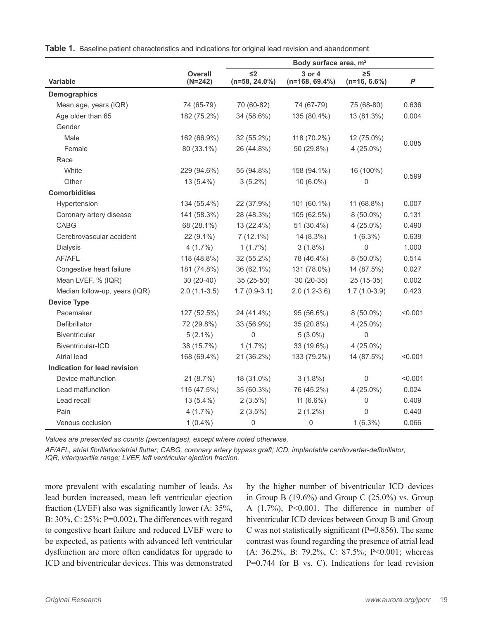|                               |                             | Body surface area, m <sup>2</sup> |                            |                            |         |
|-------------------------------|-----------------------------|-----------------------------------|----------------------------|----------------------------|---------|
| <b>Variable</b>               | <b>Overall</b><br>$(N=242)$ | $\leq$ 2<br>$(n=58, 24.0\%)$      | 3 or 4<br>$(n=168, 69.4%)$ | $\geq 5$<br>$(n=16, 6.6%)$ | P       |
| <b>Demographics</b>           |                             |                                   |                            |                            |         |
| Mean age, years (IQR)         | 74 (65-79)                  | 70 (60-82)                        | 74 (67-79)                 | 75 (68-80)                 | 0.636   |
| Age older than 65             | 182 (75.2%)                 | 34 (58.6%)                        | 135 (80.4%)                | 13 (81.3%)                 | 0.004   |
| Gender                        |                             |                                   |                            |                            |         |
| Male                          | 162 (66.9%)                 | 32 (55.2%)                        | 118 (70.2%)                | 12 (75.0%)                 |         |
| Female                        | 80 (33.1%)                  | 26 (44.8%)                        | 50 (29.8%)                 | $4(25.0\%)$                | 0.085   |
| Race                          |                             |                                   |                            |                            |         |
| White                         | 229 (94.6%)                 | 55 (94.8%)                        | 158 (94.1%)                | 16 (100%)                  |         |
| Other                         | 13 (5.4%)                   | $3(5.2\%)$                        | $10(6.0\%)$                | 0                          | 0.599   |
| <b>Comorbidities</b>          |                             |                                   |                            |                            |         |
| Hypertension                  | 134 (55.4%)                 | 22 (37.9%)                        | 101 (60.1%)                | 11 (68.8%)                 | 0.007   |
| Coronary artery disease       | 141 (58.3%)                 | 28 (48.3%)                        | 105 (62.5%)                | $8(50.0\%)$                | 0.131   |
| CABG                          | 68 (28.1%)                  | 13 (22.4%)                        | 51 (30.4%)                 | $4(25.0\%)$                | 0.490   |
| Cerebrovascular accident      | 22 (9.1%)                   | $7(12.1\%)$                       | 14 (8.3%)                  | $1(6.3\%)$                 | 0.639   |
| Dialysis                      | $4(1.7\%)$                  | $1(1.7\%)$                        | $3(1.8\%)$                 | 0                          | 1.000   |
| AF/AFL                        | 118 (48.8%)                 | 32 (55.2%)                        | 78 (46.4%)                 | $8(50.0\%)$                | 0.514   |
| Congestive heart failure      | 181 (74.8%)                 | 36 (62.1%)                        | 131 (78.0%)                | 14 (87.5%)                 | 0.027   |
| Mean LVEF, % (IQR)            | $30(20-40)$                 | $35(25-50)$                       | $30(20-35)$                | 25 (15-35)                 | 0.002   |
| Median follow-up, years (IQR) | $2.0(1.1-3.5)$              | $1.7(0.9-3.1)$                    | $2.0(1.2-3.6)$             | $1.7(1.0-3.9)$             | 0.423   |
| <b>Device Type</b>            |                             |                                   |                            |                            |         |
| Pacemaker                     | 127 (52.5%)                 | 24 (41.4%)                        | 95 (56.6%)                 | $8(50.0\%)$                | < 0.001 |
| Defibrillator                 | 72 (29.8%)                  | 33 (56.9%)                        | 35 (20.8%)                 | $4(25.0\%)$                |         |
| <b>Biventricular</b>          | $5(2.1\%)$                  | 0                                 | $5(3.0\%)$                 | 0                          |         |
| Biventricular-ICD             | 38 (15.7%)                  | $1(1.7\%)$                        | 33 (19.6%)                 | $4(25.0\%)$                |         |
| Atrial lead                   | 168 (69.4%)                 | 21 (36.2%)                        | 133 (79.2%)                | 14 (87.5%)                 | < 0.001 |
| Indication for lead revision  |                             |                                   |                            |                            |         |
| Device malfunction            | 21(8.7%)                    | 18 (31.0%)                        | $3(1.8\%)$                 | $\mathsf 0$                | < 0.001 |
| Lead malfunction              | 115 (47.5%)                 | 35 (60.3%)                        | 76 (45.2%)                 | $4(25.0\%)$                | 0.024   |
| Lead recall                   | 13 (5.4%)                   | $2(3.5\%)$                        | 11 (6.6%)                  | 0                          | 0.409   |
| Pain                          | $4(1.7\%)$                  | $2(3.5\%)$                        | $2(1.2\%)$                 | 0                          | 0.440   |
| Venous occlusion              | $1(0.4\%)$                  | 0                                 | $\mathsf{O}\xspace$        | $1(6.3\%)$                 | 0.066   |

**Table 1.** Baseline patient characteristics and indications for original lead revision and abandonment

*Values are presented as counts (percentages), except where noted otherwise.*

*AF/AFL, atrial fibrillation/atrial flutter; CABG, coronary artery bypass graft; ICD, implantable cardioverter-defibrillator; IQR, interquartile range; LVEF, left ventricular ejection fraction.*

more prevalent with escalating number of leads. As lead burden increased, mean left ventricular ejection fraction (LVEF) also was significantly lower (A: 35%, B: 30%, C: 25%; P=0.002). The differences with regard to congestive heart failure and reduced LVEF were to be expected, as patients with advanced left ventricular dysfunction are more often candidates for upgrade to ICD and biventricular devices. This was demonstrated by the higher number of biventricular ICD devices in Group B  $(19.6\%)$  and Group C  $(25.0\%)$  vs. Group A (1.7%), P<0.001. The difference in number of biventricular ICD devices between Group B and Group C was not statistically significant ( $P=0.856$ ). The same contrast was found regarding the presence of atrial lead (A: 36.2%, B: 79.2%, C: 87.5%; P<0.001; whereas P=0.744 for B vs. C). Indications for lead revision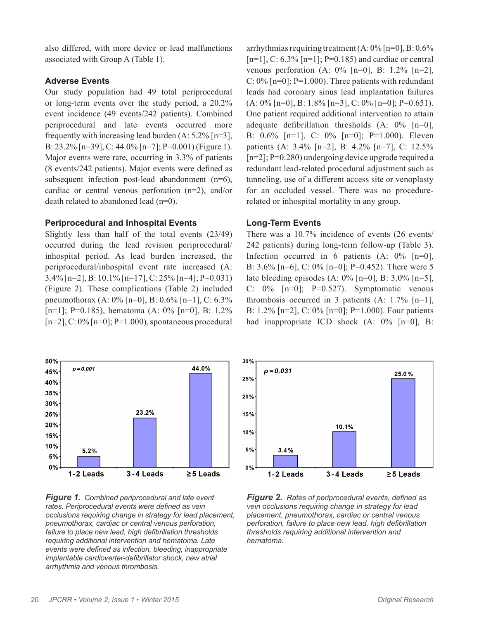also differed, with more device or lead malfunctions associated with Group A (Table 1).

## **Adverse Events**

Our study population had 49 total periprocedural or long-term events over the study period, a 20.2% event incidence (49 events/242 patients). Combined periprocedural and late events occurred more frequently with increasing lead burden  $(A: 5.2\%$  [n=3], B: 23.2% [n=39], C: 44.0% [n=7]; P=0.001) (Figure 1). Major events were rare, occurring in 3.3% of patients (8 events/242 patients). Major events were defined as subsequent infection post-lead abandonment (n=6), cardiac or central venous perforation (n=2), and/or death related to abandoned lead (n=0).

# **Periprocedural and Inhospital Events**

Slightly less than half of the total events (23/49) occurred during the lead revision periprocedural/ inhospital period. As lead burden increased, the periprocedural/inhospital event rate increased (A: 3.4% [n=2], B: 10.1% [n=17], C: 25% [n=4]; P=0.031) (Figure 2). These complications (Table 2) included pneumothorax (A: 0% [n=0], B: 0.6% [n=1], C: 6.3% [n=1]; P=0.185), hematoma (A:  $0\%$  [n=0], B: 1.2%  $[n=2]$ , C: 0%  $[n=0]$ ; P=1.000), spontaneous procedural



*Figure 1.**Combined periprocedural and late event rates. Periprocedural events were defined as vein occlusions requiring change in strategy for lead placement, pneumothorax, cardiac or central venous perforation, failure to place new lead, high defibrillation thresholds requiring additional intervention and hematoma. Late events were defined as infection, bleeding, inappropriate implantable cardioverter-defibrillator shock, new atrial arrhythmia and venous thrombosis.*

arrhythmias requiring treatment  $(A: 0\%$  [n=0], B:  $0.6\%$  $[n=1]$ , C: 6.3%  $[n=1]$ ; P=0.185) and cardiac or central venous perforation  $(A: 0\%$  [n=0], B: 1.2% [n=2], C:  $0\%$  [n=0]; P=1.000). Three patients with redundant leads had coronary sinus lead implantation failures  $(A: 0\%$  [n=0], B: 1.8% [n=3], C: 0% [n=0]; P=0.651). One patient required additional intervention to attain adequate defibrillation thresholds (A: 0% [n=0], B: 0.6% [n=1], C: 0% [n=0]; P=1.000). Eleven patients (A: 3.4% [n=2], B: 4.2% [n=7], C: 12.5%  $[n=2]$ ; P=0.280) undergoing device upgrade required a redundant lead-related procedural adjustment such as tunneling, use of a different access site or venoplasty for an occluded vessel. There was no procedurerelated or inhospital mortality in any group.

# **Long-Term Events**

There was a 10.7% incidence of events (26 events/ 242 patients) during long-term follow-up (Table 3). Infection occurred in 6 patients  $(A: 0\%$  [n=0], B: 3.6% [n=6], C: 0% [n=0]; P=0.452). There were 5 late bleeding episodes  $(A: 0\%$  [n=0], B: 3.0% [n=5], C:  $0\%$  [n=0]; P=0.527). Symptomatic venous thrombosis occurred in 3 patients  $(A: 1.7\%$  [n=1], B: 1.2% [n=2], C: 0% [n=0]; P=1.000). Four patients had inappropriate ICD shock (A:  $0\%$  [n=0], B:



*Figure 2.**Rates of periprocedural events, defined as vein occlusions requiring change in strategy for lead placement, pneumothorax, cardiac or central venous perforation, failure to place new lead, high defibrillation thresholds requiring additional intervention and hematoma.*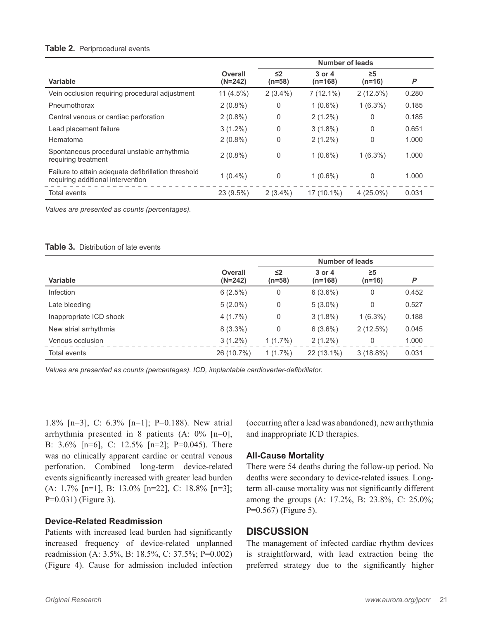#### **Table 2.** Periprocedural events

|                                                                                          |                      | <b>Number of leads</b> |                         |                      |       |
|------------------------------------------------------------------------------------------|----------------------|------------------------|-------------------------|----------------------|-------|
| Variable                                                                                 | Overall<br>$(N=242)$ | $\leq$<br>$(n=58)$     | $3$ or $4$<br>$(n=168)$ | $\geq 5$<br>$(n=16)$ | P     |
| Vein occlusion requiring procedural adjustment                                           | $11(4.5\%)$          | $2(3.4\%)$             | $7(12.1\%)$             | $2(12.5\%)$          | 0.280 |
| Pneumothorax                                                                             | $2(0.8\%)$           | 0                      | $1(0.6\%)$              | $1(6.3\%)$           | 0.185 |
| Central venous or cardiac perforation                                                    | $2(0.8\%)$           | 0                      | $2(1.2\%)$              | 0                    | 0.185 |
| Lead placement failure                                                                   | $3(1.2\%)$           | 0                      | $3(1.8\%)$              | 0                    | 0.651 |
| Hematoma                                                                                 | $2(0.8\%)$           | 0                      | $2(1.2\%)$              | 0                    | 1.000 |
| Spontaneous procedural unstable arrhythmia<br>requiring treatment                        | $2(0.8\%)$           | 0                      | $1(0.6\%)$              | $1(6.3\%)$           | 1.000 |
| Failure to attain adequate defibrillation threshold<br>requiring additional intervention | $1(0.4\%)$           | 0                      | $1(0.6\%)$              | 0                    | 1.000 |
| Total events                                                                             | 23 (9.5%)            | $2(3.4\%)$             | $17(10.1\%)$            | $4(25.0\%)$          | 0.031 |

*Values are presented as counts (percentages).*

#### **Table 3.** Distribution of late events

|                         |                             | Number of leads      |                     |                      |       |
|-------------------------|-----------------------------|----------------------|---------------------|----------------------|-------|
| <b>Variable</b>         | <b>Overall</b><br>$(N=242)$ | $\leq$ 2<br>$(n=58)$ | 3 or 4<br>$(n=168)$ | $\geq 5$<br>$(n=16)$ | P     |
| <b>Infection</b>        | 6(2.5%)                     | 0                    | $6(3.6\%)$          | 0                    | 0.452 |
| Late bleeding           | $5(2.0\%)$                  | 0                    | $5(3.0\%)$          | $\mathbf{0}$         | 0.527 |
| Inappropriate ICD shock | $4(1.7\%)$                  | 0                    | $3(1.8\%)$          | $1(6.3\%)$           | 0.188 |
| New atrial arrhythmia   | $8(3.3\%)$                  | 0                    | $6(3.6\%)$          | $2(12.5\%)$          | 0.045 |
| Venous occlusion        | $3(1.2\%)$                  | $1(1.7\%)$           | $2(1.2\%)$          | 0                    | 1.000 |
| Total events            | 26 (10.7%)                  | $1(1.7\%)$           | 22 (13.1%)          | $3(18.8\%)$          | 0.031 |

*Values are presented as counts (percentages). ICD, implantable cardioverter-defibrillator.*

1.8% [n=3], C: 6.3% [n=1]; P=0.188). New atrial arrhythmia presented in 8 patients (A: 0% [n=0], B: 3.6% [n=6], C: 12.5% [n=2]; P=0.045). There was no clinically apparent cardiac or central venous perforation. Combined long-term device-related events significantly increased with greater lead burden (A: 1.7% [n=1], B: 13.0% [n=22], C: 18.8% [n=3]; P=0.031) (Figure 3).

#### **Device-Related Readmission**

Patients with increased lead burden had significantly increased frequency of device-related unplanned readmission (A: 3.5%, B: 18.5%, C: 37.5%; P=0.002) (Figure 4). Cause for admission included infection (occurring after a lead was abandoned), new arrhythmia and inappropriate ICD therapies.

#### **All-Cause Mortality**

There were 54 deaths during the follow-up period. No deaths were secondary to device-related issues. Longterm all-cause mortality was not significantly different among the groups (A: 17.2%, B: 23.8%, C: 25.0%; P=0.567) (Figure 5).

### **DISCUSSION**

The management of infected cardiac rhythm devices is straightforward, with lead extraction being the preferred strategy due to the significantly higher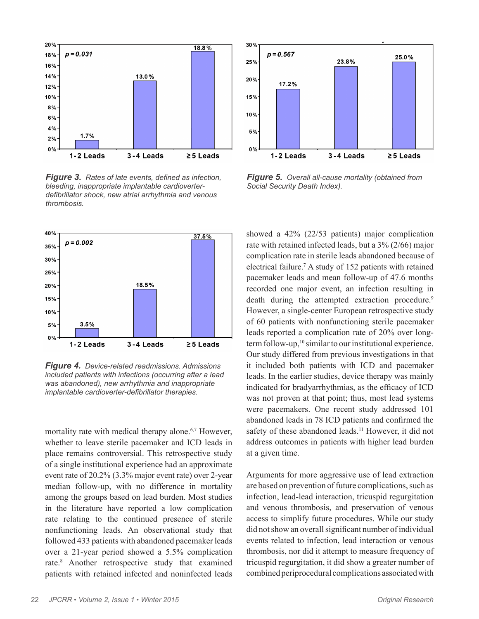

*Figure 3.**Rates of late events, defined as infection, bleeding, inappropriate implantable cardioverterdefibrillator shock, new atrial arrhythmia and venous thrombosis.*



*Figure 4.**Device-related readmissions. Admissions included patients with infections (occurring after a lead was abandoned), new arrhythmia and inappropriate implantable cardioverter-defibrillator therapies.*

mortality rate with medical therapy alone.<sup>6,7</sup> However, whether to leave sterile pacemaker and ICD leads in place remains controversial. This retrospective study of a single institutional experience had an approximate event rate of 20.2% (3.3% major event rate) over 2-year median follow-up, with no difference in mortality among the groups based on lead burden. Most studies in the literature have reported a low complication rate relating to the continued presence of sterile nonfunctioning leads. An observational study that followed 433 patients with abandoned pacemaker leads over a 21-year period showed a 5.5% complication rate.8 Another retrospective study that examined patients with retained infected and noninfected leads



*Figure 5.**Overall all-cause mortality (obtained from Social Security Death Index).*

showed a 42% (22/53 patients) major complication rate with retained infected leads, but a 3% (2/66) major complication rate in sterile leads abandoned because of electrical failure.7 A study of 152 patients with retained pacemaker leads and mean follow-up of 47.6 months recorded one major event, an infection resulting in death during the attempted extraction procedure.<sup>9</sup> However, a single-center European retrospective study of 60 patients with nonfunctioning sterile pacemaker leads reported a complication rate of 20% over longterm follow-up,<sup>10</sup> similar to our institutional experience. Our study differed from previous investigations in that it included both patients with ICD and pacemaker leads. In the earlier studies, device therapy was mainly indicated for bradyarrhythmias, as the efficacy of ICD was not proven at that point; thus, most lead systems were pacemakers. One recent study addressed 101 abandoned leads in 78 ICD patients and confirmed the safety of these abandoned leads.<sup>11</sup> However, it did not address outcomes in patients with higher lead burden at a given time.

Arguments for more aggressive use of lead extraction are based on prevention of future complications, such as infection, lead-lead interaction, tricuspid regurgitation and venous thrombosis, and preservation of venous access to simplify future procedures. While our study did not show an overall significant number of individual events related to infection, lead interaction or venous thrombosis, nor did it attempt to measure frequency of tricuspid regurgitation, it did show a greater number of combined periprocedural complications associated with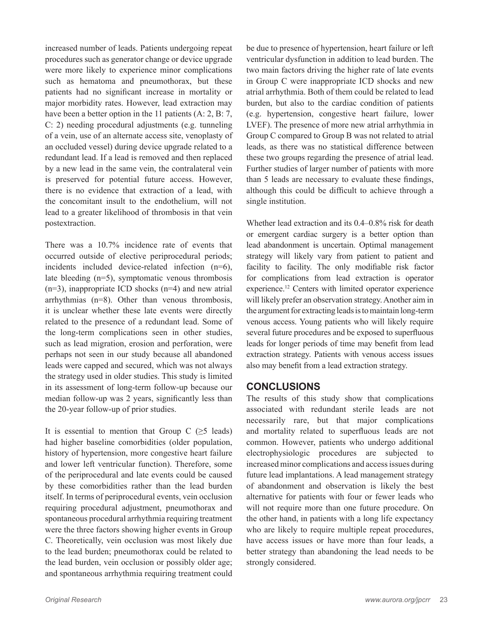increased number of leads. Patients undergoing repeat procedures such as generator change or device upgrade were more likely to experience minor complications such as hematoma and pneumothorax, but these patients had no significant increase in mortality or major morbidity rates. However, lead extraction may have been a better option in the 11 patients (A: 2, B: 7, C: 2) needing procedural adjustments (e.g. tunneling of a vein, use of an alternate access site, venoplasty of an occluded vessel) during device upgrade related to a redundant lead. If a lead is removed and then replaced by a new lead in the same vein, the contralateral vein is preserved for potential future access. However, there is no evidence that extraction of a lead, with the concomitant insult to the endothelium, will not lead to a greater likelihood of thrombosis in that vein postextraction.

There was a 10.7% incidence rate of events that occurred outside of elective periprocedural periods; incidents included device-related infection (n=6), late bleeding (n=5), symptomatic venous thrombosis  $(n=3)$ , inappropriate ICD shocks  $(n=4)$  and new atrial arrhythmias (n=8). Other than venous thrombosis, it is unclear whether these late events were directly related to the presence of a redundant lead. Some of the long-term complications seen in other studies, such as lead migration, erosion and perforation, were perhaps not seen in our study because all abandoned leads were capped and secured, which was not always the strategy used in older studies. This study is limited in its assessment of long-term follow-up because our median follow-up was 2 years, significantly less than the 20-year follow-up of prior studies.

It is essential to mention that Group C  $(\geq 5 \text{ leads})$ had higher baseline comorbidities (older population, history of hypertension, more congestive heart failure and lower left ventricular function). Therefore, some of the periprocedural and late events could be caused by these comorbidities rather than the lead burden itself. In terms of periprocedural events, vein occlusion requiring procedural adjustment, pneumothorax and spontaneous procedural arrhythmia requiring treatment were the three factors showing higher events in Group C. Theoretically, vein occlusion was most likely due to the lead burden; pneumothorax could be related to the lead burden, vein occlusion or possibly older age; and spontaneous arrhythmia requiring treatment could

be due to presence of hypertension, heart failure or left ventricular dysfunction in addition to lead burden. The two main factors driving the higher rate of late events in Group C were inappropriate ICD shocks and new atrial arrhythmia. Both of them could be related to lead burden, but also to the cardiac condition of patients (e.g. hypertension, congestive heart failure, lower LVEF). The presence of more new atrial arrhythmia in Group C compared to Group B was not related to atrial leads, as there was no statistical difference between these two groups regarding the presence of atrial lead. Further studies of larger number of patients with more than 5 leads are necessary to evaluate these findings, although this could be difficult to achieve through a single institution.

Whether lead extraction and its 0.4–0.8% risk for death or emergent cardiac surgery is a better option than lead abandonment is uncertain. Optimal management strategy will likely vary from patient to patient and facility to facility. The only modifiable risk factor for complications from lead extraction is operator experience.12 Centers with limited operator experience will likely prefer an observation strategy. Another aim in the argument for extracting leads is to maintain long-term venous access. Young patients who will likely require several future procedures and be exposed to superfluous leads for longer periods of time may benefit from lead extraction strategy. Patients with venous access issues also may benefit from a lead extraction strategy.

# **CONCLUSIONS**

The results of this study show that complications associated with redundant sterile leads are not necessarily rare, but that major complications and mortality related to superfluous leads are not common. However, patients who undergo additional electrophysiologic procedures are subjected to increased minor complications and access issues during future lead implantations. A lead management strategy of abandonment and observation is likely the best alternative for patients with four or fewer leads who will not require more than one future procedure. On the other hand, in patients with a long life expectancy who are likely to require multiple repeat procedures, have access issues or have more than four leads, a better strategy than abandoning the lead needs to be strongly considered.